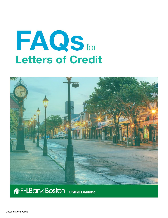# FAQS for Letters of Credit



## **Ref FHLBank Boston** Online Banking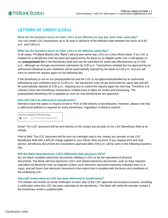### **LETTERS OF CREDIT (LOCs)**

#### **What are the business hours to enter LOCs to be effective on any day other than same-day?**

You can create LOC transactions up to 30 days in advance of the effective date between the hours of 8:30 a.m. and 5:00 p.m.

#### **What are the business hours to enter LOCs to be effective same-day?**

In all cases, FHLBank Boston (the "Bank") will process same-day LOCs on a best efforts basis. If an LOC is initiated for a beneficiary that has been pre-approved by the Bank as an eligible public unit, it will appear on our **prepopulated list** in the Beneficiary field and can be submitted for same-day effectiveness up to 5:00 p.m., although we strongly recommend submission by 3:00 p.m. Transactions initiated but not approved by an authorized individual at your institution will be automatically rejected by the Bank at 5:00 p.m. and you will have to submit the request again on the following day.

If the beneficiary is not on our prepopulated list and the LOC is not approved/submitted by an authorized individual at your institution prior to 12:00 p.m., the transaction may not get processed for same day and will be automatically rejected at 3:00 p.m., requiring you to submit the request again the next day. Therefore, it is critical to have new beneficiary transactions created early to allow for review and processing. The prepopulated beneficiary list is updated as soon as new beneficiaries are approved.

#### **How will LOCs be delivered to beneficiaries?**

Members have the option to request *Email* or *Print & Mail* delivery to beneficiaries. However, please note that a valid email address is required for every beneficiary, regardless of delivery method.

**Delivery Option to Beneficiary:**  $\bullet$  Email  $\circ$  Print & Mail (\$25.00 fee)

*Email*: The LOC document will be sent directly to the contact you provide on the LOC Beneficiary field at no charge.

*Print & Mail*: The LOC document will be sent via overnight mail to the contact you provide on the LOC Beneficiary field with a \$25.00 charge applied to your IDEAL Way Account. If you request print and mail service, beneficiary documents for transactions approved after 3:00 p.m. will be sent on the following business day.

#### **Will the Bank treat electronic LOCs differently than physical LOCs?**

No, the Bank considers electronic documents relating to LOCs to be the equivalent of physical documents. The Bank will treat electronic LOCs and related electronic documents, such as draw requests submitted via electronic mail, as originals (unless such electronic document expressly indicates that it is a copy), and will honor that electronic document to the extent that it complies with the terms and conditions of the underlying LOC.

#### **How will I know when an LOC has been delivered to beneficiaries?**

The initiator will receive an email notification at each step of the LOC approval and issuance process, including a notification when the LOC has been submitted to the beneficiary. The Bank will notify the member contact if the beneficiary email is undeliverable.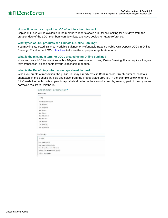#### **How will I obtain a copy of the LOC after it has been issued?**

Copies of LOCs will be available in the member's reports section in Online Banking for 180 days from the creation date of the LOC. Members can download and save copies for future reference.

#### **What types of LOC products can I initiate in Online Banking?**

You may initiate Fixed Balance, Variable Balance, or Refundable Balance Public Unit Deposit LOCs in Online Banking. For all other LOCs, [click here](http://www.fhlbboston.com/members/forms_and_apps/05_05_01_credit_products_forms.jsp) to locate the appropriate application form.

#### **What is the maximum term for LOCs created using Online Banking?**

You can create LOC transactions with a 10-year maximum term using Online Banking. If you require a longerterm transaction, please contact your relationship manager.

#### **What is the Beneficiary Information type ahead feature?**

When you create a transaction, the public unit may already exist in Bank records. Simply enter at least four characters in the Beneficiary field and select from the prepopulated drop list. In the example below, entering "city" made the public units appear in alphabetical order. In the second example, entering part of the city name narrowed results to limit the list.

|                                                                                                  | City                               |  |
|--------------------------------------------------------------------------------------------------|------------------------------------|--|
| City of Auburn<br>City of Augusta<br>City of Barre<br>City of Bath<br>City of Biddeford          | Barre City School District         |  |
|                                                                                                  |                                    |  |
|                                                                                                  |                                    |  |
|                                                                                                  |                                    |  |
|                                                                                                  |                                    |  |
|                                                                                                  |                                    |  |
| City of Boston                                                                                   |                                    |  |
| City of Brewer                                                                                   |                                    |  |
| City of Buffalo                                                                                  |                                    |  |
| City of Burlington                                                                               |                                    |  |
|                                                                                                  |                                    |  |
|                                                                                                  | haven                              |  |
|                                                                                                  |                                    |  |
|                                                                                                  |                                    |  |
|                                                                                                  |                                    |  |
| Beneficiary<br>East Haven School<br>East Haven School District<br>New Haven Town School District | Town of East Haven School District |  |
|                                                                                                  | Town of New Haven                  |  |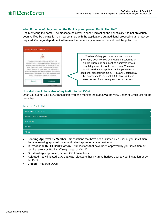#### **What if the beneficiary isn't on the Bank's pre-approved Public Unit list?**

Begin entering the name. The message below will appear, indicating the beneficiary has not previously been verified by the Bank. You may continue with the application, but additional processing time may be required. Our legal department will review the beneficiary to ensure the status of the public unit.



The beneficiary you have provided has not previously been verified by FHLBank Boston as an eligible public unit and must be approved by our legal department prior to processing. You may continue with your application, but please note additional processing time by FHLBank Boston may be necessary. Please call 1-800-357-3452 and select option 3 with any questions or concerns.

#### **How do I check the status of my institution's LOCs?**

Once you submit your LOC transaction, you can monitor the status via the View Letter of Credit List on the menu bar

#### Letters of Credit List

| Pending Approval by Member     |  |
|--------------------------------|--|
| In Process with FHLBank Boston |  |
| Outstanding                    |  |
| Rejected                       |  |
| Closed                         |  |

- **Pending Approval by Member –** transactions that have been initiated by a user at your institution that are awaiting approval by an authorized approver at your institution.
- **In Process with FHLBank Boston –** transactions that have been approved by your institution but require review by Bank staff (e.g. Legal or Credit)
- **Outstanding –** approved, active LOC transactions
- **Rejected –** any initiated LOC that was rejected either by an authorized user at your institution or by the Bank
- **Closed –** matured LOCs